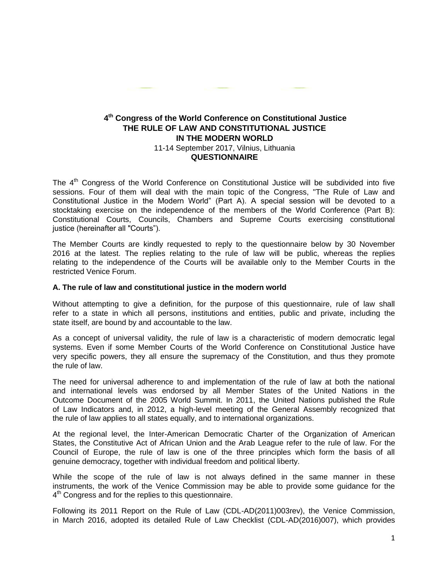# **4 th Congress of the World Conference on Constitutional Justice THE RULE OF LAW AND CONSTITUTIONAL JUSTICE IN THE MODERN WORLD** 11-14 September 2017, Vilnius, Lithuania **QUESTIONNAIRE**

The 4<sup>th</sup> Congress of the World Conference on Constitutional Justice will be subdivided into five sessions. Four of them will deal with the main topic of the Congress, "The Rule of Law and Constitutional Justice in the Modern World" (Part A). A special session will be devoted to a stocktaking exercise on the independence of the members of the World Conference (Part B): Constitutional Courts, Councils, Chambers and Supreme Courts exercising constitutional justice (hereinafter all "Courts").

The Member Courts are kindly requested to reply to the questionnaire below by 30 November 2016 at the latest. The replies relating to the rule of law will be public, whereas the replies relating to the independence of the Courts will be available only to the Member Courts in the restricted Venice Forum.

### **A. The rule of law and constitutional justice in the modern world**

Without attempting to give a definition, for the purpose of this questionnaire, rule of law shall refer to a state in which all persons, institutions and entities, public and private, including the state itself, are bound by and accountable to the law.

As a concept of universal validity, the rule of law is a characteristic of modern democratic legal systems. Even if some Member Courts of the World Conference on Constitutional Justice have very specific powers, they all ensure the supremacy of the Constitution, and thus they promote the rule of law.

The need for universal adherence to and implementation of the rule of law at both the national and international levels was endorsed by all Member States of the United Nations in the Outcome Document of the 2005 World Summit. In 2011, the United Nations published the Rule of Law Indicators and, in 2012, a high-level meeting of the General Assembly recognized that the rule of law applies to all states equally, and to international organizations.

At the regional level, the Inter-American Democratic Charter of the Organization of American States, the Constitutive Act of African Union and the Arab League refer to the rule of law. For the Council of Europe, the rule of law is one of the three principles which form the basis of all genuine democracy, together with individual freedom and political liberty.

While the scope of the rule of law is not always defined in the same manner in these instruments, the work of the Venice Commission may be able to provide some guidance for the 4<sup>th</sup> Congress and for the replies to this questionnaire.

Following its 2011 Report on the Rule of Law (CDL-AD(2011)003rev), the Venice Commission, in March 2016, adopted its detailed Rule of Law Checklist (CDL-AD(2016)007), which provides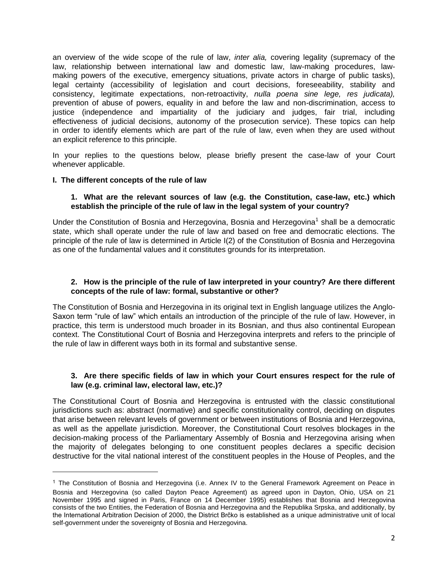an overview of the wide scope of the rule of law, *inter alia,* covering legality (supremacy of the law, relationship between international law and domestic law, law-making procedures, lawmaking powers of the executive, emergency situations, private actors in charge of public tasks), legal certainty (accessibility of legislation and court decisions, foreseeability, stability and consistency, legitimate expectations, non-retroactivity, *nulla poena sine lege, res judicata),* prevention of abuse of powers, equality in and before the law and non-discrimination, access to justice (independence and impartiality of the judiciary and judges, fair trial, including effectiveness of judicial decisions, autonomy of the prosecution service). These topics can help in order to identify elements which are part of the rule of law, even when they are used without an explicit reference to this principle.

In your replies to the questions below, please briefly present the case-law of your Court whenever applicable.

# **I. The different concepts of the rule of law**

 $\overline{\phantom{a}}$ 

### **1. What are the relevant sources of law (e.g. the Constitution, case-law, etc.) which establish the principle of the rule of law in the legal system of your country?**

Under the Constitution of Bosnia and Herzegovina, Bosnia and Herzegovina<sup>1</sup> shall be a democratic state, which shall operate under the rule of law and based on free and democratic elections. The principle of the rule of law is determined in Article I(2) of the Constitution of Bosnia and Herzegovina as one of the fundamental values and it constitutes grounds for its interpretation.

# **2. How is the principle of the rule of law interpreted in your country? Are there different concepts of the rule of law: formal, substantive or other?**

The Constitution of Bosnia and Herzegovina in its original text in English language utilizes the Anglo-Saxon term "rule of law" which entails an introduction of the principle of the rule of law. However, in practice, this term is understood much broader in its Bosnian, and thus also continental European context. The Constitutional Court of Bosnia and Herzegovina interprets and refers to the principle of the rule of law in different ways both in its formal and substantive sense.

# **3. Are there specific fields of law in which your Court ensures respect for the rule of law (e.g. criminal law, electoral law, etc.)?**

The Constitutional Court of Bosnia and Herzegovina is entrusted with the classic constitutional jurisdictions such as: abstract (normative) and specific constitutionality control, deciding on disputes that arise between relevant levels of government or between institutions of Bosnia and Herzegovina, as well as the appellate jurisdiction. Moreover, the Constitutional Court resolves blockages in the decision-making process of the Parliamentary Assembly of Bosnia and Herzegovina arising when the majority of delegates belonging to one constituent peoples declares a specific decision destructive for the vital national interest of the constituent peoples in the House of Peoples, and the

<sup>1</sup> The Constitution of Bosnia and Herzegovina (i.e. Annex IV to the General Framework Agreement on Peace in Bosnia and Herzegovina (so called Dayton Peace Agreement) as agreed upon in Dayton, Ohio, USA on 21 November 1995 and signed in Paris, France on 14 December 1995) establishes that Bosnia and Herzegovina consists of the two Entities, the Federation of Bosnia and Herzegovina and the Republika Srpska, and additionally, by the International Arbitration Decision of 2000, the District Brčko is established as a unique administrative unit of local self-government under the sovereignty of Bosnia and Herzegovina.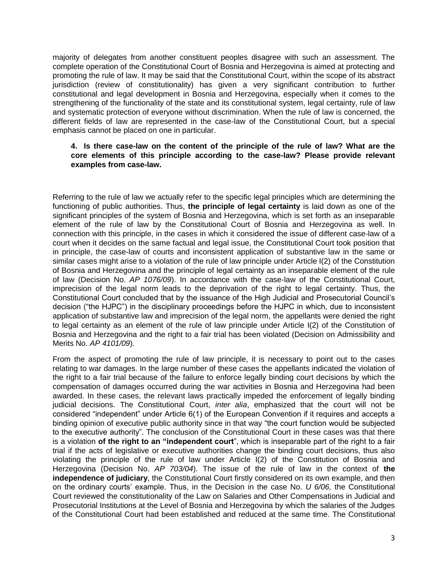majority of delegates from another constituent peoples disagree with such an assessment. The complete operation of the Constitutional Court of Bosnia and Herzegovina is aimed at protecting and promoting the rule of law. It may be said that the Constitutional Court, within the scope of its abstract jurisdiction (review of constitutionality) has given a very significant contribution to further constitutional and legal development in Bosnia and Herzegovina, especially when it comes to the strengthening of the functionality of the state and its constitutional system, legal certainty, rule of law and systematic protection of everyone without discrimination. When the rule of law is concerned, the different fields of law are represented in the case-law of the Constitutional Court, but a special emphasis cannot be placed on one in particular.

# **4. Is there case-law on the content of the principle of the rule of law? What are the core elements of this principle according to the case-law? Please provide relevant examples from case-law.**

Referring to the rule of law we actually refer to the specific legal principles which are determining the functioning of public authorities. Thus, **the principle of legal certainty** is laid down as one of the significant principles of the system of Bosnia and Herzegovina, which is set forth as an inseparable element of the rule of law by the Constitutional Court of Bosnia and Herzegovina as well. In connection with this principle, in the cases in which it considered the issue of different case-law of a court when it decides on the same factual and legal issue, the Constitutional Court took position that in principle, the case-law of courts and inconsistent application of substantive law in the same or similar cases might arise to a violation of the rule of law principle under Article I(2) of the Constitution of Bosnia and Herzegovina and the principle of legal certainty as an inseparable element of the rule of law (Decision No. *AP 1076/09*). In accordance with the case-law of the Constitutional Court, imprecision of the legal norm leads to the deprivation of the right to legal certainty. Thus, the Constitutional Court concluded that by the issuance of the High Judicial and Prosecutorial Council's decision ("the HJPC") in the disciplinary proceedings before the HJPC in which, due to inconsistent application of substantive law and imprecision of the legal norm, the appellants were denied the right to legal certainty as an element of the rule of law principle under Article I(2) of the Constitution of Bosnia and Herzegovina and the right to a fair trial has been violated (Decision on Admissibility and Merits No. *AP 4101/09*).

From the aspect of promoting the rule of law principle, it is necessary to point out to the cases relating to war damages. In the large number of these cases the appellants indicated the violation of the right to a fair trial because of the failure to enforce legally binding court decisions by which the compensation of damages occurred during the war activities in Bosnia and Herzegovina had been awarded. In these cases, the relevant laws practically impeded the enforcement of legally binding judicial decisions. The Constitutional Court, *inter alia*, emphasized that the court will not be considered "independent" under Article 6(1) of the European Convention if it requires and accepts a binding opinion of executive public authority since in that way "the court function would be subjected to the executive authority". The conclusion of the Constitutional Court in these cases was that there is a violation **of the right to an "independent court**", which is inseparable part of the right to a fair trial if the acts of legislative or executive authorities change the binding court decisions, thus also violating the principle of the rule of law under Article I(2) of the Constitution of Bosnia and Herzegovina (Decision No. *AP 703/04*). The issue of the rule of law in the context of **the independence of judiciary**, the Constitutional Court firstly considered on its own example, and then on the ordinary courts' example. Thus, in the Decision in the case No. *U 6/06,* the Constitutional Court reviewed the constitutionality of the Law on Salaries and Other Compensations in Judicial and Prosecutorial Institutions at the Level of Bosnia and Herzegovina by which the salaries of the Judges of the Constitutional Court had been established and reduced at the same time. The Constitutional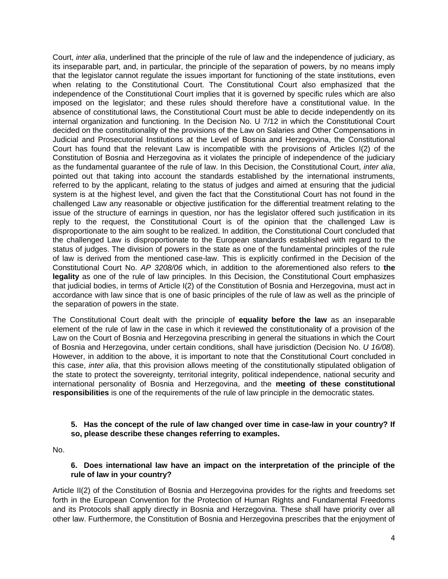Court, *inter alia*, underlined that the principle of the rule of law and the independence of judiciary, as its inseparable part, and, in particular, the principle of the separation of powers, by no means imply that the legislator cannot regulate the issues important for functioning of the state institutions, even when relating to the Constitutional Court. The Constitutional Court also emphasized that the independence of the Constitutional Court implies that it is governed by specific rules which are also imposed on the legislator; and these rules should therefore have a constitutional value. In the absence of constitutional laws, the Constitutional Court must be able to decide independently on its internal organization and functioning. In the Decision No. U 7/12 in which the Constitutional Court decided on the constitutionality of the provisions of the Law on Salaries and Other Compensations in Judicial and Prosecutorial Institutions at the Level of Bosnia and Herzegovina, the Constitutional Court has found that the relevant Law is incompatible with the provisions of Articles I(2) of the Constitution of Bosnia and Herzegovina as it violates the principle of independence of the judiciary as the fundamental guarantee of the rule of law. In this Decision, the Constitutional Court, *inter alia*, pointed out that taking into account the standards established by the international instruments, referred to by the applicant, relating to the status of judges and aimed at ensuring that the judicial system is at the highest level, and given the fact that the Constitutional Court has not found in the challenged Law any reasonable or objective justification for the differential treatment relating to the issue of the structure of earnings in question, nor has the legislator offered such justification in its reply to the request, the Constitutional Court is of the opinion that the challenged Law is disproportionate to the aim sought to be realized. In addition, the Constitutional Court concluded that the challenged Law is disproportionate to the European standards established with regard to the status of judges. The division of powers in the state as one of the fundamental principles of the rule of law is derived from the mentioned case-law. This is explicitly confirmed in the Decision of the Constitutional Court No. *AP 3208/06* which, in addition to the aforementioned also refers to **the legality** as one of the rule of law principles. In this Decision, the Constitutional Court emphasizes that judicial bodies, in terms of Article I(2) of the Constitution of Bosnia and Herzegovina, must act in accordance with law since that is one of basic principles of the rule of law as well as the principle of the separation of powers in the state.

The Constitutional Court dealt with the principle of **equality before the law** as an inseparable element of the rule of law in the case in which it reviewed the constitutionality of a provision of the Law on the Court of Bosnia and Herzegovina prescribing in general the situations in which the Court of Bosnia and Herzegovina, under certain conditions, shall have jurisdiction (Decision No. *U 16/08*). However, in addition to the above, it is important to note that the Constitutional Court concluded in this case, *inter alia*, that this provision allows meeting of the constitutionally stipulated obligation of the state to protect the sovereignty, territorial integrity, political independence, national security and international personality of Bosnia and Herzegovina, and the **meeting of these constitutional responsibilities** is one of the requirements of the rule of law principle in the democratic states.

# **5. Has the concept of the rule of law changed over time in case-law in your country? If so, please describe these changes referring to examples.**

No.

# **6. Does international law have an impact on the interpretation of the principle of the rule of law in your country?**

Article II(2) of the Constitution of Bosnia and Herzegovina provides for the rights and freedoms set forth in the European Convention for the Protection of Human Rights and Fundamental Freedoms and its Protocols shall apply directly in Bosnia and Herzegovina. These shall have priority over all other law. Furthermore, the Constitution of Bosnia and Herzegovina prescribes that the enjoyment of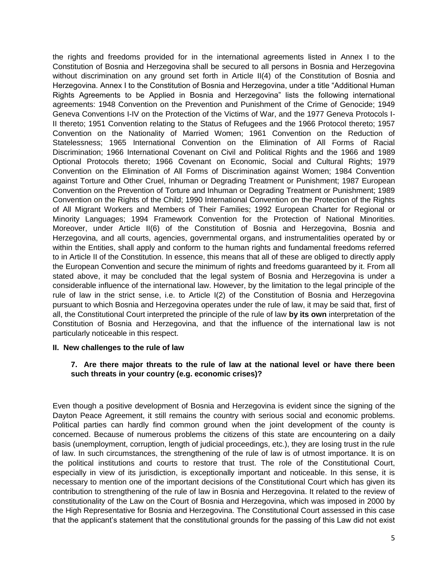the rights and freedoms provided for in the international agreements listed in Annex I to the Constitution of Bosnia and Herzegovina shall be secured to all persons in Bosnia and Herzegovina without discrimination on any ground set forth in Article II(4) of the Constitution of Bosnia and Herzegovina. Annex I to the Constitution of Bosnia and Herzegovina, under a title "Additional Human Rights Agreements to be Applied in Bosnia and Herzegovina" lists the following international agreements: 1948 Convention on the Prevention and Punishment of the Crime of Genocide; 1949 Geneva Conventions I-IV on the Protection of the Victims of War, and the 1977 Geneva Protocols I-II thereto; 1951 Convention relating to the Status of Refugees and the 1966 Protocol thereto; 1957 Convention on the Nationality of Married Women; 1961 Convention on the Reduction of Statelessness; 1965 International Convention on the Elimination of All Forms of Racial Discrimination; 1966 International Covenant on Civil and Political Rights and the 1966 and 1989 Optional Protocols thereto; 1966 Covenant on Economic, Social and Cultural Rights; 1979 Convention on the Elimination of All Forms of Discrimination against Women; 1984 Convention against Torture and Other Cruel, Inhuman or Degrading Treatment or Punishment; 1987 European Convention on the Prevention of Torture and Inhuman or Degrading Treatment or Punishment; 1989 Convention on the Rights of the Child; 1990 International Convention on the Protection of the Rights of All Migrant Workers and Members of Their Families; 1992 European Charter for Regional or Minority Languages; 1994 Framework Convention for the Protection of National Minorities. Moreover, under Article II(6) of the Constitution of Bosnia and Herzegovina, Bosnia and Herzegovina, and all courts, agencies, governmental organs, and instrumentalities operated by or within the Entities, shall apply and conform to the human rights and fundamental freedoms referred to in Article II of the Constitution. In essence, this means that all of these are obliged to directly apply the European Convention and secure the minimum of rights and freedoms guaranteed by it. From all stated above, it may be concluded that the legal system of Bosnia and Herzegovina is under a considerable influence of the international law. However, by the limitation to the legal principle of the rule of law in the strict sense, i.e. to Article I(2) of the Constitution of Bosnia and Herzegovina pursuant to which Bosnia and Herzegovina operates under the rule of law, it may be said that, first of all, the Constitutional Court interpreted the principle of the rule of law **by its own** interpretation of the Constitution of Bosnia and Herzegovina, and that the influence of the international law is not particularly noticeable in this respect.

#### **II. New challenges to the rule of law**

# **7. Are there major threats to the rule of law at the national level or have there been such threats in your country (e.g. economic crises)?**

Even though a positive development of Bosnia and Herzegovina is evident since the signing of the Dayton Peace Agreement, it still remains the country with serious social and economic problems. Political parties can hardly find common ground when the joint development of the county is concerned. Because of numerous problems the citizens of this state are encountering on a daily basis (unemployment, corruption, length of judicial proceedings, etc.), they are losing trust in the rule of law. In such circumstances, the strengthening of the rule of law is of utmost importance. It is on the political institutions and courts to restore that trust. The role of the Constitutional Court, especially in view of its jurisdiction, is exceptionally important and noticeable. In this sense, it is necessary to mention one of the important decisions of the Constitutional Court which has given its contribution to strengthening of the rule of law in Bosnia and Herzegovina. It related to the review of constitutionality of the Law on the Court of Bosnia and Herzegovina, which was imposed in 2000 by the High Representative for Bosnia and Herzegovina. The Constitutional Court assessed in this case that the applicant's statement that the constitutional grounds for the passing of this Law did not exist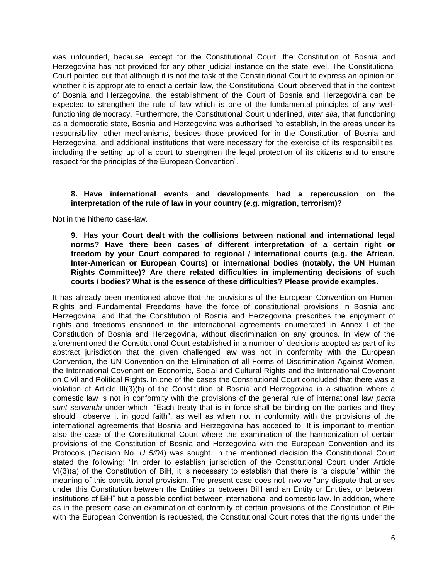was unfounded, because, except for the Constitutional Court, the Constitution of Bosnia and Herzegovina has not provided for any other judicial instance on the state level. The Constitutional Court pointed out that although it is not the task of the Constitutional Court to express an opinion on whether it is appropriate to enact a certain law, the Constitutional Court observed that in the context of Bosnia and Herzegovina, the establishment of the Court of Bosnia and Herzegovina can be expected to strengthen the rule of law which is one of the fundamental principles of any wellfunctioning democracy. Furthermore, the Constitutional Court underlined, *inter alia*, that functioning as a democratic state, Bosnia and Herzegovina was authorised "to establish, in the areas under its responsibility, other mechanisms, besides those provided for in the Constitution of Bosnia and Herzegovina, and additional institutions that were necessary for the exercise of its responsibilities, including the setting up of a court to strengthen the legal protection of its citizens and to ensure respect for the principles of the European Convention".

# **8. Have international events and developments had a repercussion on the interpretation of the rule of law in your country (e.g. migration, terrorism)?**

Not in the hitherto case-law.

**9. Has your Court dealt with the collisions between national and international legal norms? Have there been cases of different interpretation of a certain right or freedom by your Court compared to regional / international courts (e.g. the African, Inter-American or European Courts) or international bodies (notably, the UN Human Rights Committee)? Are there related difficulties in implementing decisions of such courts / bodies? What is the essence of these difficulties? Please provide examples.**

It has already been mentioned above that the provisions of the European Convention on Human Rights and Fundamental Freedoms have the force of constitutional provisions in Bosnia and Herzegovina, and that the Constitution of Bosnia and Herzegovina prescribes the enjoyment of rights and freedoms enshrined in the international agreements enumerated in Annex I of the Constitution of Bosnia and Herzegovina, without discrimination on any grounds. In view of the aforementioned the Constitutional Court established in a number of decisions adopted as part of its abstract jurisdiction that the given challenged law was not in conformity with the European Convention, the UN Convention on the Elimination of all Forms of Discrimination Against Women, the International Covenant on Economic, Social and Cultural Rights and the International Covenant on Civil and Political Rights. In one of the cases the Constitutional Court concluded that there was a violation of Article III(3)(b) of the Constitution of Bosnia and Herzegovina in a situation where a domestic law is not in conformity with the provisions of the general rule of international law *pacta sunt servanda* under which "Each treaty that is in force shall be binding on the parties and they should observe it in good faith", as well as when not in conformity with the provisions of the international agreements that Bosnia and Herzegovina has acceded to. It is important to mention also the case of the Constitutional Court where the examination of the harmonization of certain provisions of the Constitution of Bosnia and Herzegovina with the European Convention and its Protocols (Decision No. *U 5/04*) was sought. In the mentioned decision the Constitutional Court stated the following: "In order to establish jurisdiction of the Constitutional Court under Article VI(3)(a) of the Constitution of BiH, it is necessary to establish that there is "a dispute" within the meaning of this constitutional provision. The present case does not involve "any dispute that arises under this Constitution between the Entities or between BiH and an Entity or Entities, or between institutions of BiH" but a possible conflict between international and domestic law. In addition, where as in the present case an examination of conformity of certain provisions of the Constitution of BiH with the European Convention is requested, the Constitutional Court notes that the rights under the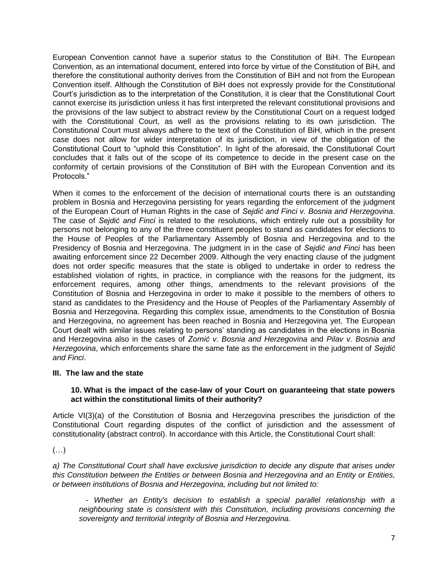European Convention cannot have a superior status to the Constitution of BiH. The European Convention, as an international document, entered into force by virtue of the Constitution of BiH, and therefore the constitutional authority derives from the Constitution of BiH and not from the European Convention itself. Although the Constitution of BiH does not expressly provide for the Constitutional Court's jurisdiction as to the interpretation of the Constitution, it is clear that the Constitutional Court cannot exercise its jurisdiction unless it has first interpreted the relevant constitutional provisions and the provisions of the law subject to abstract review by the Constitutional Court on a request lodged with the Constitutional Court, as well as the provisions relating to its own jurisdiction. The Constitutional Court must always adhere to the text of the Constitution of BiH, which in the present case does not allow for wider interpretation of its jurisdiction, in view of the obligation of the Constitutional Court to "uphold this Constitution". In light of the aforesaid, the Constitutional Court concludes that it falls out of the scope of its competence to decide in the present case on the conformity of certain provisions of the Constitution of BiH with the European Convention and its Protocols."

When it comes to the enforcement of the decision of international courts there is an outstanding problem in Bosnia and Herzegovina persisting for years regarding the enforcement of the judgment of the European Court of Human Rights in the case of *Sejdić and Finci v. Bosnia and Herzegovina*. The case of *Sejdić and Finci* is related to the resolutions, which entirely rule out a possibility for persons not belonging to any of the three constituent peoples to stand as candidates for elections to the House of Peoples of the Parliamentary Assembly of Bosnia and Herzegovina and to the Presidency of Bosnia and Herzegovina. The judgment in in the case of *Sejdić and Finci* has been awaiting enforcement since 22 December 2009. Although the very enacting clause of the judgment does not order specific measures that the state is obliged to undertake in order to redress the established violation of rights, in practice, in compliance with the reasons for the judgment, its enforcement requires, among other things, amendments to the relevant provisions of the Constitution of Bosnia and Herzegovina in order to make it possible to the members of others to stand as candidates to the Presidency and the House of Peoples of the Parliamentary Assembly of Bosnia and Herzegovina. Regarding this complex issue, amendments to the Constitution of Bosnia and Herzegovina, no agreement has been reached in Bosnia and Herzegovina yet. The European Court dealt with similar issues relating to persons' standing as candidates in the elections in Bosnia and Herzegovina also in the cases of *Zornić v. Bosnia and Herzegovina* and *Pilav v. Bosnia and Herzegovina*, which enforcements share the same fate as the enforcement in the judgment of *Sejdić and Finci*.

# **III. The law and the state**

# **10. What is the impact of the case-law of your Court on guaranteeing that state powers act within the constitutional limits of their authority?**

Article VI(3)(a) of the Constitution of Bosnia and Herzegovina prescribes the jurisdiction of the Constitutional Court regarding disputes of the conflict of jurisdiction and the assessment of constitutionality (abstract control). In accordance with this Article, the Constitutional Court shall:

 $(\ldots)$ 

*a) The Constitutional Court shall have exclusive jurisdiction to decide any dispute that arises under this Constitution between the Entities or between Bosnia and Herzegovina and an Entity or Entities, or between institutions of Bosnia and Herzegovina, including but not limited to:*

*- Whether an Entity's decision to establish a special parallel relationship with a neighbouring state is consistent with this Constitution, including provisions concerning the sovereignty and territorial integrity of Bosnia and Herzegovina.*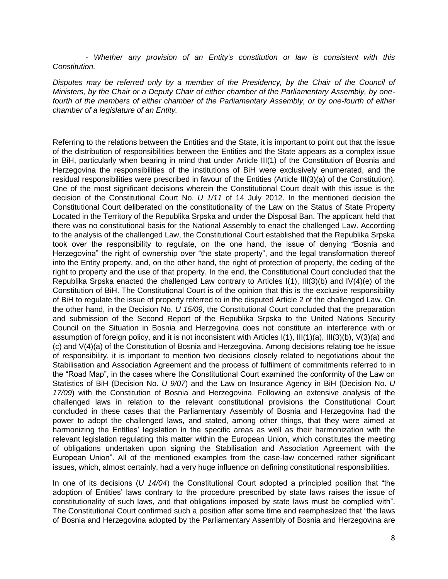*- Whether any provision of an Entity's constitution or law is consistent with this Constitution.*

*Disputes may be referred only by a member of the Presidency, by the Chair of the Council of Ministers, by the Chair or a Deputy Chair of either chamber of the Parliamentary Assembly, by onefourth of the members of either chamber of the Parliamentary Assembly, or by one-fourth of either chamber of a legislature of an Entity.*

Referring to the relations between the Entities and the State, it is important to point out that the issue of the distribution of responsibilities between the Entities and the State appears as a complex issue in BiH, particularly when bearing in mind that under Article III(1) of the Constitution of Bosnia and Herzegovina the responsibilities of the institutions of BiH were exclusively enumerated, and the residual responsibilities were prescribed in favour of the Entities (Article III(3)(a) of the Constitution). One of the most significant decisions wherein the Constitutional Court dealt with this issue is the decision of the Constitutional Court No. *U 1/11* of 14 July 2012. In the mentioned decision the Constitutional Court deliberated on the constitutionality of the Law on the Status of State Property Located in the Territory of the Republika Srpska and under the Disposal Ban. The applicant held that there was no constitutional basis for the National Assembly to enact the challenged Law. According to the analysis of the challenged Law, the Constitutional Court established that the Republika Srpska took over the responsibility to regulate, on the one hand, the issue of denying "Bosnia and Herzegovina" the right of ownership over "the state property", and the legal transformation thereof into the Entity property, and, on the other hand, the right of protection of property, the ceding of the right to property and the use of that property. In the end, the Constitutional Court concluded that the Republika Srpska enacted the challenged Law contrary to Articles I(1), III(3)(b) and IV(4)(e) of the Constitution of BiH. The Constitutional Court is of the opinion that this is the exclusive responsibility of BiH to regulate the issue of property referred to in the disputed Article 2 of the challenged Law. On the other hand, in the Decision No. *U 15/09*, the Constitutional Court concluded that the preparation and submission of the Second Report of the Republika Srpska to the United Nations Security Council on the Situation in Bosnia and Herzegovina does not constitute an interference with or assumption of foreign policy, and it is not inconsistent with Articles I(1), III(1)(a), III(3)(b), V(3)(a) and (c) and V(4)(a) of the Constitution of Bosnia and Herzegovina. Among decisions relating toe he issue of responsibility, it is important to mention two decisions closely related to negotiations about the Stabilisation and Association Agreement and the process of fulfilment of commitments referred to in the "Road Map", in the cases where the Constitutional Court examined the conformity of the Law on Statistics of BiH (Decision No. *U 9/07*) and the Law on Insurance Agency in BiH (Decision No. *U 17/09*) with the Constitution of Bosnia and Herzegovina. Following an extensive analysis of the challenged laws in relation to the relevant constitutional provisions the Constitutional Court concluded in these cases that the Parliamentary Assembly of Bosnia and Herzegovina had the power to adopt the challenged laws, and stated, among other things, that they were aimed at harmonizing the Entities' legislation in the specific areas as well as their harmonization with the relevant legislation regulating this matter within the European Union, which constitutes the meeting of obligations undertaken upon signing the Stabilisation and Association Agreement with the European Union". All of the mentioned examples from the case-law concerned rather significant issues, which, almost certainly, had a very huge influence on defining constitutional responsibilities.

In one of its decisions (*U 14/04*) the Constitutional Court adopted a principled position that "the adoption of Entities' laws contrary to the procedure prescribed by state laws raises the issue of constitutionality of such laws, and that obligations imposed by state laws must be complied with". The Constitutional Court confirmed such a position after some time and reemphasized that "the laws of Bosnia and Herzegovina adopted by the Parliamentary Assembly of Bosnia and Herzegovina are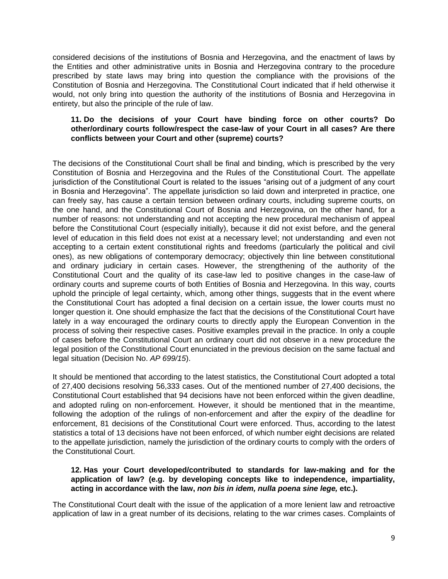considered decisions of the institutions of Bosnia and Herzegovina, and the enactment of laws by the Entities and other administrative units in Bosnia and Herzegovina contrary to the procedure prescribed by state laws may bring into question the compliance with the provisions of the Constitution of Bosnia and Herzegovina. The Constitutional Court indicated that if held otherwise it would, not only bring into question the authority of the institutions of Bosnia and Herzegovina in entirety, but also the principle of the rule of law.

# **11. Do the decisions of your Court have binding force on other courts? Do other/ordinary courts follow/respect the case-law of your Court in all cases? Are there conflicts between your Court and other (supreme) courts?**

The decisions of the Constitutional Court shall be final and binding, which is prescribed by the very Constitution of Bosnia and Herzegovina and the Rules of the Constitutional Court. The appellate jurisdiction of the Constitutional Court is related to the issues "arising out of a judgment of any court in Bosnia and Herzegovina". The appellate jurisdiction so laid down and interpreted in practice, one can freely say, has cause a certain tension between ordinary courts, including supreme courts, on the one hand, and the Constitutional Court of Bosnia and Herzegovina, on the other hand, for a number of reasons: not understanding and not accepting the new procedural mechanism of appeal before the Constitutional Court (especially initially), because it did not exist before, and the general level of education in this field does not exist at a necessary level; not understanding and even not accepting to a certain extent constitutional rights and freedoms (particularly the political and civil ones), as new obligations of contemporary democracy; objectively thin line between constitutional and ordinary judiciary in certain cases. However, the strengthening of the authority of the Constitutional Court and the quality of its case-law led to positive changes in the case-law of ordinary courts and supreme courts of both Entities of Bosnia and Herzegovina. In this way, courts uphold the principle of legal certainty, which, among other things, suggests that in the event where the Constitutional Court has adopted a final decision on a certain issue, the lower courts must no longer question it. One should emphasize the fact that the decisions of the Constitutional Court have lately in a way encouraged the ordinary courts to directly apply the European Convention in the process of solving their respective cases. Positive examples prevail in the practice. In only a couple of cases before the Constitutional Court an ordinary court did not observe in a new procedure the legal position of the Constitutional Court enunciated in the previous decision on the same factual and legal situation (Decision No. *AP 699/15*).

It should be mentioned that according to the latest statistics, the Constitutional Court adopted a total of 27,400 decisions resolving 56,333 cases. Out of the mentioned number of 27,400 decisions, the Constitutional Court established that 94 decisions have not been enforced within the given deadline, and adopted ruling on non-enforcement. However, it should be mentioned that in the meantime, following the adoption of the rulings of non-enforcement and after the expiry of the deadline for enforcement, 81 decisions of the Constitutional Court were enforced. Thus, according to the latest statistics a total of 13 decisions have not been enforced, of which number eight decisions are related to the appellate jurisdiction, namely the jurisdiction of the ordinary courts to comply with the orders of the Constitutional Court.

# **12. Has your Court developed/contributed to standards for law-making and for the application of law? (e.g. by developing concepts like to independence, impartiality, acting in accordance with the law,** *non bis in idem, nulla poena sine lege,* **etc.).**

The Constitutional Court dealt with the issue of the application of a more lenient law and retroactive application of law in a great number of its decisions, relating to the war crimes cases. Complaints of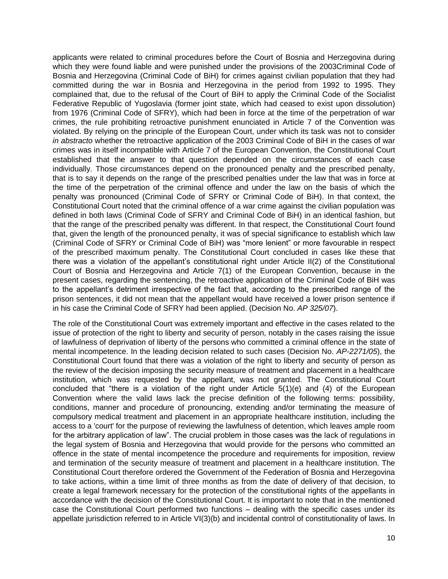applicants were related to criminal procedures before the Court of Bosnia and Herzegovina during which they were found liable and were punished under the provisions of the 2003Criminal Code of Bosnia and Herzegovina (Criminal Code of BiH) for crimes against civilian population that they had committed during the war in Bosnia and Herzegovina in the period from 1992 to 1995. They complained that, due to the refusal of the Court of BiH to apply the Criminal Code of the Socialist Federative Republic of Yugoslavia (former joint state, which had ceased to exist upon dissolution) from 1976 (Criminal Code of SFRY), which had been in force at the time of the perpetration of war crimes, the rule prohibiting retroactive punishment enunciated in Article 7 of the Convention was violated. By relying on the principle of the European Court, under which its task was not to consider *in abstracto* whether the retroactive application of the 2003 Criminal Code of BiH in the cases of war crimes was in itself incompatible with Article 7 of the European Convention, the Constitutional Court established that the answer to that question depended on the circumstances of each case individually. Those circumstances depend on the pronounced penalty and the prescribed penalty, that is to say it depends on the range of the prescribed penalties under the law that was in force at the time of the perpetration of the criminal offence and under the law on the basis of which the penalty was pronounced (Criminal Code of SFRY or Criminal Code of BiH). In that context, the Constitutional Court noted that the criminal offence of a war crime against the civilian population was defined in both laws (Criminal Code of SFRY and Criminal Code of BiH) in an identical fashion, but that the range of the prescribed penalty was different. In that respect, the Constitutional Court found that, given the length of the pronounced penalty, it was of special significance to establish which law (Criminal Code of SFRY or Criminal Code of BiH) was "more lenient" or more favourable in respect of the prescribed maximum penalty. The Constitutional Court concluded in cases like these that there was a violation of the appellant's constitutional right under Article II(2) of the Constitutional Court of Bosnia and Herzegovina and Article 7(1) of the European Convention, because in the present cases, regarding the sentencing, the retroactive application of the Criminal Code of BiH was to the appellant's detriment irrespective of the fact that, according to the prescribed range of the prison sentences, it did not mean that the appellant would have received a lower prison sentence if in his case the Criminal Code of SFRY had been applied. (Decision No. *AP 325/07*).

The role of the Constitutional Court was extremely important and effective in the cases related to the issue of protection of the right to liberty and security of person, notably in the cases raising the issue of lawfulness of deprivation of liberty of the persons who committed a criminal offence in the state of mental incompetence. In the leading decision related to such cases (Decision No. *AP-2271/05*), the Constitutional Court found that there was a violation of the right to liberty and security of person as the review of the decision imposing the security measure of treatment and placement in a healthcare institution, which was requested by the appellant, was not granted. The Constitutional Court concluded that "there is a violation of the right under Article  $5(1)(e)$  and  $(4)$  of the European Convention where the valid laws lack the precise definition of the following terms: possibility, conditions, manner and procedure of pronouncing, extending and/or terminating the measure of compulsory medical treatment and placement in an appropriate healthcare institution, including the access to a 'court' for the purpose of reviewing the lawfulness of detention, which leaves ample room for the arbitrary application of law". The crucial problem in those cases was the lack of regulations in the legal system of Bosnia and Herzegovina that would provide for the persons who committed an offence in the state of mental incompetence the procedure and requirements for imposition, review and termination of the security measure of treatment and placement in a healthcare institution. The Constitutional Court therefore ordered the Government of the Federation of Bosnia and Herzegovina to take actions, within a time limit of three months as from the date of delivery of that decision, to create a legal framework necessary for the protection of the constitutional rights of the appellants in accordance with the decision of the Constitutional Court. It is important to note that in the mentioned case the Constitutional Court performed two functions – dealing with the specific cases under its appellate jurisdiction referred to in Article VI(3)(b) and incidental control of constitutionality of laws. In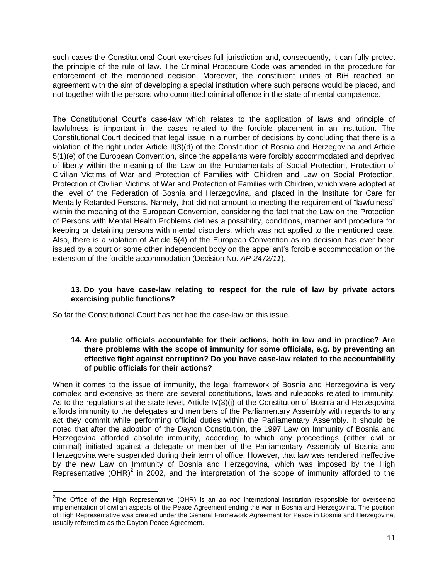such cases the Constitutional Court exercises full jurisdiction and, consequently, it can fully protect the principle of the rule of law. The Criminal Procedure Code was amended in the procedure for enforcement of the mentioned decision. Moreover, the constituent unites of BiH reached an agreement with the aim of developing a special institution where such persons would be placed, and not together with the persons who committed criminal offence in the state of mental competence.

The Constitutional Court's case-law which relates to the application of laws and principle of lawfulness is important in the cases related to the forcible placement in an institution. The Constitutional Court decided that legal issue in a number of decisions by concluding that there is a violation of the right under Article II(3)(d) of the Constitution of Bosnia and Herzegovina and Article 5(1)(e) of the European Convention, since the appellants were forcibly accommodated and deprived of liberty within the meaning of the Law on the Fundamentals of Social Protection, Protection of Civilian Victims of War and Protection of Families with Children and Law on Social Protection, Protection of Civilian Victims of War and Protection of Families with Children, which were adopted at the level of the Federation of Bosnia and Herzegovina, and placed in the Institute for Care for Mentally Retarded Persons. Namely, that did not amount to meeting the requirement of "lawfulness" within the meaning of the European Convention, considering the fact that the Law on the Protection of Persons with Mental Health Problems defines a possibility, conditions, manner and procedure for keeping or detaining persons with mental disorders, which was not applied to the mentioned case. Also, there is a violation of Article 5(4) of the European Convention as no decision has ever been issued by a court or some other independent body on the appellant's forcible accommodation or the extension of the forcible accommodation (Decision No. *AP-2472/11*).

# **13. Do you have case-law relating to respect for the rule of law by private actors exercising public functions?**

So far the Constitutional Court has not had the case-law on this issue.

 $\overline{a}$ 

# **14. Are public officials accountable for their actions, both in law and in practice? Are there problems with the scope of immunity for some officials, e.g. by preventing an effective fight against corruption? Do you have case-law related to the accountability of public officials for their actions?**

When it comes to the issue of immunity, the legal framework of Bosnia and Herzegovina is very complex and extensive as there are several constitutions, laws and rulebooks related to immunity. As to the regulations at the state level, Article IV(3)(j) of the Constitution of Bosnia and Herzegovina affords immunity to the delegates and members of the Parliamentary Assembly with regards to any act they commit while performing official duties within the Parliamentary Assembly. It should be noted that after the adoption of the Dayton Constitution, the 1997 Law on Immunity of Bosnia and Herzegovina afforded absolute immunity, according to which any proceedings (either civil or criminal) initiated against a delegate or member of the Parliamentary Assembly of Bosnia and Herzegovina were suspended during their term of office. However, that law was rendered ineffective by the new Law on Immunity of Bosnia and Herzegovina, which was imposed by the High Representative (OHR)<sup>2</sup> in 2002, and the interpretation of the scope of immunity afforded to the

<sup>2</sup> The Office of the High Representative (OHR) is an *ad hoc* international institution responsible for overseeing implementation of civilian aspects of the Peace Agreement ending the war in Bosnia and Herzegovina. The position of High Representative was created under the General Framework Agreement for Peace in Bosnia and Herzegovina, usually referred to as the Dayton Peace Agreement.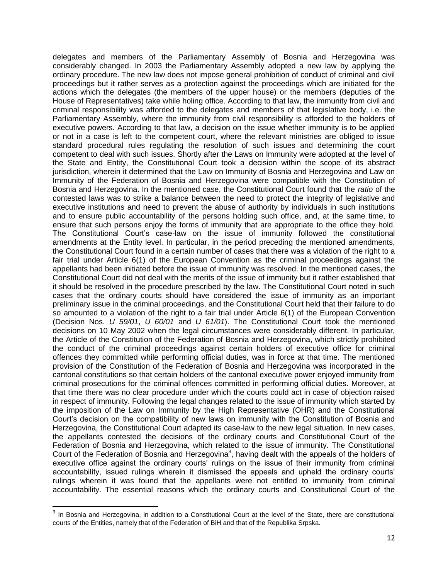delegates and members of the Parliamentary Assembly of Bosnia and Herzegovina was considerably changed. In 2003 the Parliamentary Assembly adopted a new law by applying the ordinary procedure. The new law does not impose general prohibition of conduct of criminal and civil proceedings but it rather serves as a protection against the proceedings which are initiated for the actions which the delegates (the members of the upper house) or the members (deputies of the House of Representatives) take while holing office. According to that law, the immunity from civil and criminal responsibility was afforded to the delegates and members of that legislative body, i.e. the Parliamentary Assembly, where the immunity from civil responsibility is afforded to the holders of executive powers. According to that law, a decision on the issue whether immunity is to be applied or not in a case is left to the competent court, where the relevant ministries are obliged to issue standard procedural rules regulating the resolution of such issues and determining the court competent to deal with such issues. Shortly after the Laws on Immunity were adopted at the level of the State and Entity, the Constitutional Court took a decision within the scope of its abstract jurisdiction, wherein it determined that the Law on Immunity of Bosnia and Herzegovina and Law on Immunity of the Federation of Bosnia and Herzegovina were compatible with the Constitution of Bosnia and Herzegovina. In the mentioned case, the Constitutional Court found that the *ratio* of the contested laws was to strike a balance between the need to protect the integrity of legislative and executive institutions and need to prevent the abuse of authority by individuals in such institutions and to ensure public accountability of the persons holding such office, and, at the same time, to ensure that such persons enjoy the forms of immunity that are appropriate to the office they hold. The Constitutional Court's case-law on the issue of immunity followed the constitutional amendments at the Entity level. In particular, in the period preceding the mentioned amendments, the Constitutional Court found in a certain number of cases that there was a violation of the right to a fair trial under Article 6(1) of the European Convention as the criminal proceedings against the appellants had been initiated before the issue of immunity was resolved. In the mentioned cases, the Constitutional Court did not deal with the merits of the issue of immunity but it rather established that it should be resolved in the procedure prescribed by the law. The Constitutional Court noted in such cases that the ordinary courts should have considered the issue of immunity as an important preliminary issue in the criminal proceedings, and the Constitutional Court held that their failure to do so amounted to a violation of the right to a fair trial under Article 6(1) of the European Convention (Decision Nos. *U 59/01*, *U 60/01* and *U 61/01*). The Constitutional Court took the mentioned decisions on 10 May 2002 when the legal circumstances were considerably different. In particular, the Article of the Constitution of the Federation of Bosnia and Herzegovina, which strictly prohibited the conduct of the criminal proceedings against certain holders of executive office for criminal offences they committed while performing official duties, was in force at that time. The mentioned provision of the Constitution of the Federation of Bosnia and Herzegovina was incorporated in the cantonal constitutions so that certain holders of the cantonal executive power enjoyed immunity from criminal prosecutions for the criminal offences committed in performing official duties. Moreover, at that time there was no clear procedure under which the courts could act in case of objection raised in respect of immunity. Following the legal changes related to the issue of immunity which started by the imposition of the Law on Immunity by the High Representative (OHR) and the Constitutional Court's decision on the compatibility of new laws on immunity with the Constitution of Bosnia and Herzegovina, the Constitutional Court adapted its case-law to the new legal situation. In new cases, the appellants contested the decisions of the ordinary courts and Constitutional Court of the Federation of Bosnia and Herzegovina, which related to the issue of immunity. The Constitutional Court of the Federation of Bosnia and Herzegovina<sup>3</sup>, having dealt with the appeals of the holders of executive office against the ordinary courts' rulings on the issue of their immunity from criminal accountability, issued rulings wherein it dismissed the appeals and upheld the ordinary courts' rulings wherein it was found that the appellants were not entitled to immunity from criminal accountability. The essential reasons which the ordinary courts and Constitutional Court of the

 3 In Bosnia and Herzegovina, in addition to a Constitutional Court at the level of the State, there are constitutional courts of the Entities, namely that of the Federation of BiH and that of the Republika Srpska.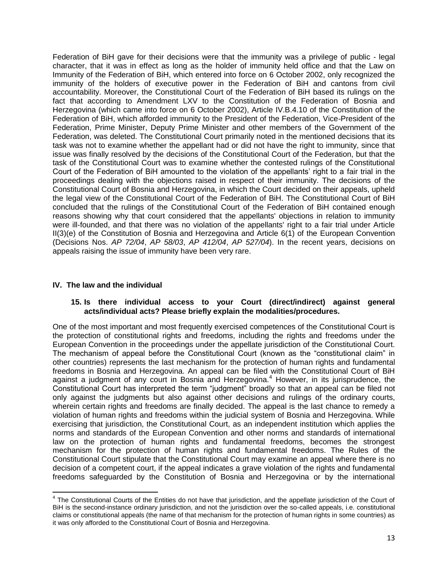Federation of BiH gave for their decisions were that the immunity was a privilege of public - legal character, that it was in effect as long as the holder of immunity held office and that the Law on Immunity of the Federation of BiH, which entered into force on 6 October 2002, only recognized the immunity of the holders of executive power in the Federation of BiH and cantons from civil accountability. Moreover, the Constitutional Court of the Federation of BiH based its rulings on the fact that according to Amendment LXV to the Constitution of the Federation of Bosnia and Herzegovina (which came into force on 6 October 2002), Article IV.B.4.10 of the Constitution of the Federation of BiH, which afforded immunity to the President of the Federation, Vice-President of the Federation, Prime Minister, Deputy Prime Minister and other members of the Government of the Federation, was deleted. The Constitutional Court primarily noted in the mentioned decisions that its task was not to examine whether the appellant had or did not have the right to immunity, since that issue was finally resolved by the decisions of the Constitutional Court of the Federation, but that the task of the Constitutional Court was to examine whether the contested rulings of the Constitutional Court of the Federation of BiH amounted to the violation of the appellants' right to a fair trial in the proceedings dealing with the objections raised in respect of their immunity. The decisions of the Constitutional Court of Bosnia and Herzegovina, in which the Court decided on their appeals, upheld the legal view of the Constitutional Court of the Federation of BiH. The Constitutional Court of BiH concluded that the rulings of the Constitutional Court of the Federation of BiH contained enough reasons showing why that court considered that the appellants' objections in relation to immunity were ill-founded, and that there was no violation of the appellants' right to a fair trial under Article II(3)(e) of the Constitution of Bosnia and Herzegovina and Article 6(1) of the European Convention (Decisions Nos. *AP 72/04*, *AP 58/03*, *AP 412/04*, *AP 527/04*). In the recent years, decisions on appeals raising the issue of immunity have been very rare.

# **IV. The law and the individual**

# **15. Is there individual access to your Court (direct/indirect) against general acts/individual acts? Please briefly explain the modalities/procedures.**

One of the most important and most frequently exercised competences of the Constitutional Court is the protection of constitutional rights and freedoms, including the rights and freedoms under the European Convention in the proceedings under the appellate jurisdiction of the Constitutional Court. The mechanism of appeal before the Constitutional Court (known as the "constitutional claim" in other countries) represents the last mechanism for the protection of human rights and fundamental freedoms in Bosnia and Herzegovina. An appeal can be filed with the Constitutional Court of BiH against a judgment of any court in Bosnia and Herzegovina.<sup>4</sup> However, in its jurisprudence, the Constitutional Court has interpreted the term "judgment" broadly so that an appeal can be filed not only against the judgments but also against other decisions and rulings of the ordinary courts, wherein certain rights and freedoms are finally decided. The appeal is the last chance to remedy a violation of human rights and freedoms within the judicial system of Bosnia and Herzegovina. While exercising that jurisdiction, the Constitutional Court, as an independent institution which applies the norms and standards of the European Convention and other norms and standards of international law on the protection of human rights and fundamental freedoms, becomes the strongest mechanism for the protection of human rights and fundamental freedoms. The Rules of the Constitutional Court stipulate that the Constitutional Court may examine an appeal where there is no decision of a competent court, if the appeal indicates a grave violation of the rights and fundamental freedoms safeguarded by the Constitution of Bosnia and Herzegovina or by the international

 4 The Constitutional Courts of the Entities do not have that jurisdiction, and the appellate jurisdiction of the Court of BiH is the second-instance ordinary jurisdiction, and not the jurisdiction over the so-called appeals, i.e. constitutional claims or constitutional appeals (the name of that mechanism for the protection of human rights in some countries) as it was only afforded to the Constitutional Court of Bosnia and Herzegovina.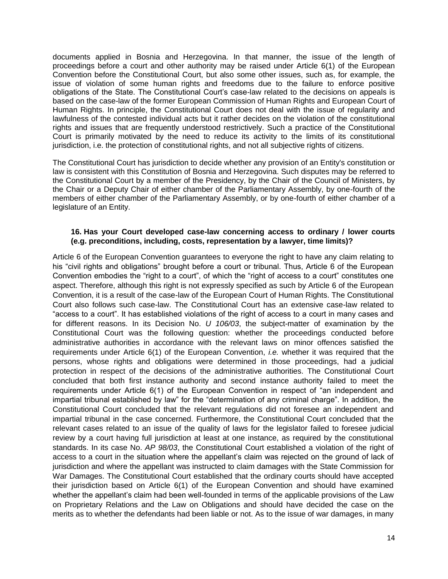documents applied in Bosnia and Herzegovina. In that manner, the issue of the length of proceedings before a court and other authority may be raised under Article 6(1) of the European Convention before the Constitutional Court, but also some other issues, such as, for example, the issue of violation of some human rights and freedoms due to the failure to enforce positive obligations of the State. The Constitutional Court's case-law related to the decisions on appeals is based on the case-law of the former European Commission of Human Rights and European Court of Human Rights. In principle, the Constitutional Court does not deal with the issue of regularity and lawfulness of the contested individual acts but it rather decides on the violation of the constitutional rights and issues that are frequently understood restrictively. Such a practice of the Constitutional Court is primarily motivated by the need to reduce its activity to the limits of its constitutional jurisdiction, i.e. the protection of constitutional rights, and not all subjective rights of citizens.

The Constitutional Court has jurisdiction to decide whether any provision of an Entity's constitution or law is consistent with this Constitution of Bosnia and Herzegovina. Such disputes may be referred to the Constitutional Court by a member of the Presidency, by the Chair of the Council of Ministers, by the Chair or a Deputy Chair of either chamber of the Parliamentary Assembly, by one-fourth of the members of either chamber of the Parliamentary Assembly, or by one-fourth of either chamber of a legislature of an Entity.

# **16. Has your Court developed case-law concerning access to ordinary / lower courts (e.g. preconditions, including, costs, representation by a lawyer, time limits)?**

Article 6 of the European Convention guarantees to everyone the right to have any claim relating to his "civil rights and obligations" brought before a court or tribunal. Thus, Article 6 of the European Convention embodies the "right to a court", of which the "right of access to a court" constitutes one aspect. Therefore, although this right is not expressly specified as such by Article 6 of the European Convention, it is a result of the case-law of the European Court of Human Rights. The Constitutional Court also follows such case-law. The Constitutional Court has an extensive case-law related to "access to a court". It has established violations of the right of access to a court in many cases and for different reasons. In its Decision No. *U 106/03*, the subject-matter of examination by the Constitutional Court was the following question: whether the proceedings conducted before administrative authorities in accordance with the relevant laws on minor offences satisfied the requirements under Article 6(1) of the European Convention, *i.e.* whether it was required that the persons, whose rights and obligations were determined in those proceedings, had a judicial protection in respect of the decisions of the administrative authorities. The Constitutional Court concluded that both first instance authority and second instance authority failed to meet the requirements under Article 6(1) of the European Convention in respect of "an independent and impartial tribunal established by law" for the "determination of any criminal charge". In addition, the Constitutional Court concluded that the relevant regulations did not foresee an independent and impartial tribunal in the case concerned. Furthermore, the Constitutional Court concluded that the relevant cases related to an issue of the quality of laws for the legislator failed to foresee judicial review by a court having full jurisdiction at least at one instance, as required by the constitutional standards. In its case No. *AP 98/03*, the Constitutional Court established a violation of the right of access to a court in the situation where the appellant's claim was rejected on the ground of lack of jurisdiction and where the appellant was instructed to claim damages with the State Commission for War Damages. The Constitutional Court established that the ordinary courts should have accepted their jurisdiction based on Article 6(1) of the European Convention and should have examined whether the appellant's claim had been well-founded in terms of the applicable provisions of the Law on Proprietary Relations and the Law on Obligations and should have decided the case on the merits as to whether the defendants had been liable or not. As to the issue of war damages, in many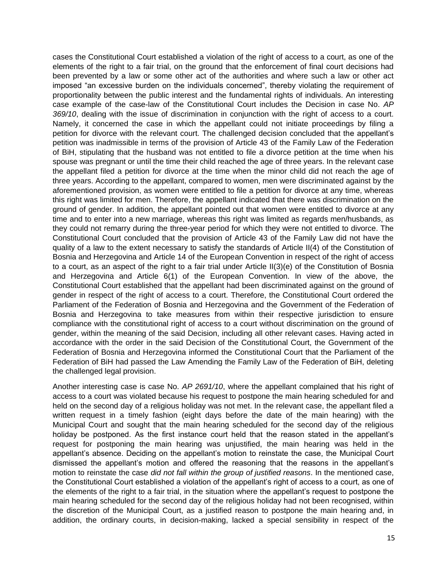cases the Constitutional Court established a violation of the right of access to a court, as one of the elements of the right to a fair trial, on the ground that the enforcement of final court decisions had been prevented by a law or some other act of the authorities and where such a law or other act imposed "an excessive burden on the individuals concerned", thereby violating the requirement of proportionality between the public interest and the fundamental rights of individuals. An interesting case example of the case-law of the Constitutional Court includes the Decision in case No. *AP 369/10*, dealing with the issue of discrimination in conjunction with the right of access to a court. Namely, it concerned the case in which the appellant could not initiate proceedings by filing a petition for divorce with the relevant court. The challenged decision concluded that the appellant's petition was inadmissible in terms of the provision of Article 43 of the Family Law of the Federation of BiH, stipulating that the husband was not entitled to file a divorce petition at the time when his spouse was pregnant or until the time their child reached the age of three years. In the relevant case the appellant filed a petition for divorce at the time when the minor child did not reach the age of three years. According to the appellant, compared to women, men were discriminated against by the aforementioned provision, as women were entitled to file a petition for divorce at any time, whereas this right was limited for men. Therefore, the appellant indicated that there was discrimination on the ground of gender. In addition, the appellant pointed out that women were entitled to divorce at any time and to enter into a new marriage, whereas this right was limited as regards men/husbands, as they could not remarry during the three-year period for which they were not entitled to divorce. The Constitutional Court concluded that the provision of Article 43 of the Family Law did not have the quality of a law to the extent necessary to satisfy the standards of Article II(4) of the Constitution of Bosnia and Herzegovina and Article 14 of the European Convention in respect of the right of access to a court, as an aspect of the right to a fair trial under Article II(3)(e) of the Constitution of Bosnia and Herzegovina and Article 6(1) of the European Convention. In view of the above, the Constitutional Court established that the appellant had been discriminated against on the ground of gender in respect of the right of access to a court. Therefore, the Constitutional Court ordered the Parliament of the Federation of Bosnia and Herzegovina and the Government of the Federation of Bosnia and Herzegovina to take measures from within their respective jurisdiction to ensure compliance with the constitutional right of access to a court without discrimination on the ground of gender, within the meaning of the said Decision, including all other relevant cases. Having acted in accordance with the order in the said Decision of the Constitutional Court, the Government of the Federation of Bosnia and Herzegovina informed the Constitutional Court that the Parliament of the Federation of BiH had passed the Law Amending the Family Law of the Federation of BiH, deleting the challenged legal provision.

Another interesting case is case No. *AP 2691/10*, where the appellant complained that his right of access to a court was violated because his request to postpone the main hearing scheduled for and held on the second day of a religious holiday was not met. In the relevant case, the appellant filed a written request in a timely fashion (eight days before the date of the main hearing) with the Municipal Court and sought that the main hearing scheduled for the second day of the religious holiday be postponed. As the first instance court held that the reason stated in the appellant's request for postponing the main hearing was unjustified, the main hearing was held in the appellant's absence. Deciding on the appellant's motion to reinstate the case, the Municipal Court dismissed the appellant's motion and offered the reasoning that the reasons in the appellant's motion to reinstate the case *did not fall within the group of justified reasons*. In the mentioned case, the Constitutional Court established a violation of the appellant's right of access to a court, as one of the elements of the right to a fair trial, in the situation where the appellant's request to postpone the main hearing scheduled for the second day of the religious holiday had not been recognised, within the discretion of the Municipal Court, as a justified reason to postpone the main hearing and, in addition, the ordinary courts, in decision-making, lacked a special sensibility in respect of the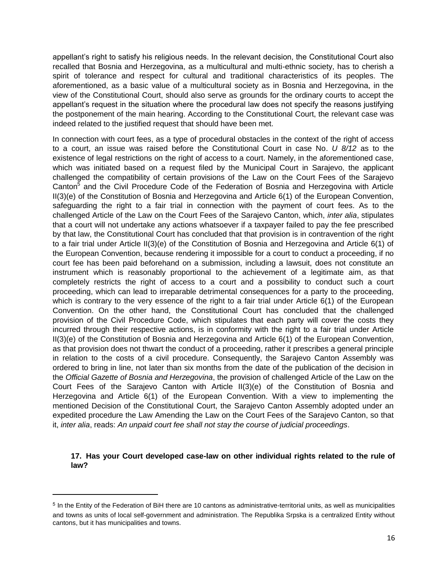appellant's right to satisfy his religious needs. In the relevant decision, the Constitutional Court also recalled that Bosnia and Herzegovina, as a multicultural and multi-ethnic society, has to cherish a spirit of tolerance and respect for cultural and traditional characteristics of its peoples. The aforementioned, as a basic value of a multicultural society as in Bosnia and Herzegovina, in the view of the Constitutional Court, should also serve as grounds for the ordinary courts to accept the appellant's request in the situation where the procedural law does not specify the reasons justifying the postponement of the main hearing. According to the Constitutional Court, the relevant case was indeed related to the justified request that should have been met.

In connection with court fees, as a type of procedural obstacles in the context of the right of access to a court, an issue was raised before the Constitutional Court in case No. *U 8/12* as to the existence of legal restrictions on the right of access to a court. Namely, in the aforementioned case, which was initiated based on a request filed by the Municipal Court in Sarajevo, the applicant challenged the compatibility of certain provisions of the Law on the Court Fees of the Sarajevo Canton<sup>5</sup> and the Civil Procedure Code of the Federation of Bosnia and Herzegovina with Article II(3)(e) of the Constitution of Bosnia and Herzegovina and Article 6(1) of the European Convention, safeguarding the right to a fair trial in connection with the payment of court fees. As to the challenged Article of the Law on the Court Fees of the Sarajevo Canton, which, *inter alia*, stipulates that a court will not undertake any actions whatsoever if a taxpayer failed to pay the fee prescribed by that law, the Constitutional Court has concluded that that provision is in contravention of the right to a fair trial under Article II(3)(e) of the Constitution of Bosnia and Herzegovina and Article 6(1) of the European Convention, because rendering it impossible for a court to conduct a proceeding, if no court fee has been paid beforehand on a submission, including a lawsuit, does not constitute an instrument which is reasonably proportional to the achievement of a legitimate aim, as that completely restricts the right of access to a court and a possibility to conduct such a court proceeding, which can lead to irreparable detrimental consequences for a party to the proceeding, which is contrary to the very essence of the right to a fair trial under Article 6(1) of the European Convention. On the other hand, the Constitutional Court has concluded that the challenged provision of the Civil Procedure Code, which stipulates that each party will cover the costs they incurred through their respective actions, is in conformity with the right to a fair trial under Article II(3)(e) of the Constitution of Bosnia and Herzegovina and Article 6(1) of the European Convention, as that provision does not thwart the conduct of a proceeding, rather it prescribes a general principle in relation to the costs of a civil procedure. Consequently, the Sarajevo Canton Assembly was ordered to bring in line, not later than six months from the date of the publication of the decision in the *Official Gazette of Bosnia and Herzegovina*, the provision of challenged Article of the Law on the Court Fees of the Sarajevo Canton with Article II(3)(e) of the Constitution of Bosnia and Herzegovina and Article 6(1) of the European Convention. With a view to implementing the mentioned Decision of the Constitutional Court, the Sarajevo Canton Assembly adopted under an expedited procedure the Law Amending the Law on the Court Fees of the Sarajevo Canton, so that it, *inter alia*, reads: *An unpaid court fee shall not stay the course of judicial proceedings*.

# **17. Has your Court developed case-law on other individual rights related to the rule of law?**

 $\overline{\phantom{a}}$ 

<sup>5</sup> In the Entity of the Federation of BiH there are 10 cantons as administrative-territorial units, as well as municipalities and towns as units of local self-government and administration. The Republika Srpska is a centralized Entity without cantons, but it has municipalities and towns.